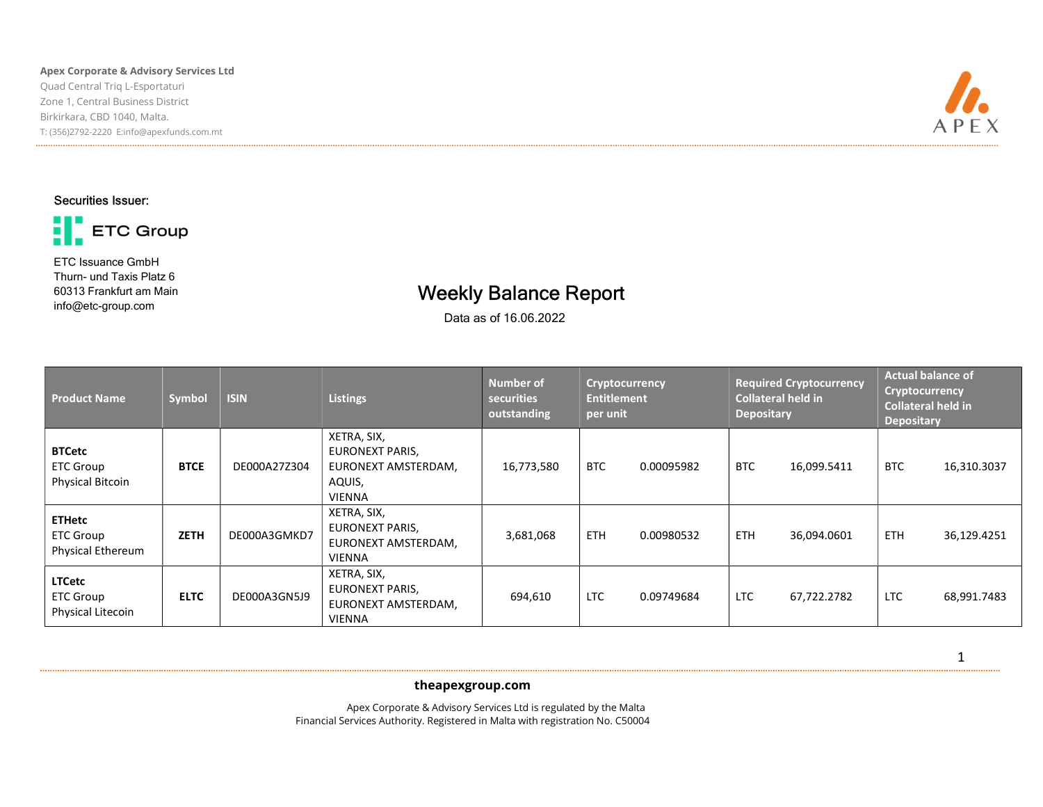#### Apex Corporate & Advisory Services Ltd Quad Central Triq L-Esportaturi Zone 1, Central Business District Birkirkara, CBD 1040, Malta. T: (356)2792-2220 E:info@apexfunds.com.mt



# Securities Issuer:



ETC Issuance GmbH Thurn- und Taxis Platz 6 60313 Frankfurt am Main info@etc-group.com

# Weekly Balance Report

Data as of 16.06.2022

| <b>Product Name</b>                                           | Symbol      | <b>ISIN</b>  | <b>Listings</b>                                                                  | <b>Number of</b><br>securities<br>outstanding | Cryptocurrency<br><b>Entitlement</b><br>per unit |            | <b>Required Cryptocurrency</b><br><b>Collateral held in</b><br><b>Depositary</b> |             | <b>Actual balance of</b><br><b>Cryptocurrency</b><br><b>Collateral held in</b><br><b>Depositary</b> |             |
|---------------------------------------------------------------|-------------|--------------|----------------------------------------------------------------------------------|-----------------------------------------------|--------------------------------------------------|------------|----------------------------------------------------------------------------------|-------------|-----------------------------------------------------------------------------------------------------|-------------|
| <b>BTCetc</b><br><b>ETC Group</b><br><b>Physical Bitcoin</b>  | <b>BTCE</b> | DE000A27Z304 | XETRA, SIX,<br>EURONEXT PARIS,<br>EURONEXT AMSTERDAM,<br>AQUIS,<br><b>VIENNA</b> | 16,773,580                                    | <b>BTC</b>                                       | 0.00095982 | <b>BTC</b>                                                                       | 16,099.5411 | <b>BTC</b>                                                                                          | 16,310.3037 |
| <b>ETHetc</b><br><b>ETC Group</b><br><b>Physical Ethereum</b> | <b>ZETH</b> | DE000A3GMKD7 | XETRA, SIX,<br>EURONEXT PARIS,<br>EURONEXT AMSTERDAM,<br><b>VIENNA</b>           | 3,681,068                                     | <b>ETH</b>                                       | 0.00980532 | <b>ETH</b>                                                                       | 36,094.0601 | <b>ETH</b>                                                                                          | 36,129.4251 |
| <b>LTCetc</b><br><b>ETC Group</b><br>Physical Litecoin        | <b>ELTC</b> | DE000A3GN5J9 | XETRA, SIX,<br><b>EURONEXT PARIS,</b><br>EURONEXT AMSTERDAM,<br><b>VIENNA</b>    | 694,610                                       | <b>LTC</b>                                       | 0.09749684 | <b>LTC</b>                                                                       | 67,722.2782 | <b>LTC</b>                                                                                          | 68,991.7483 |

ł theapexgroup.com

 Apex Corporate & Advisory Services Ltd is regulated by the Malta Financial Services Authority. Registered in Malta with registration No. C50004 1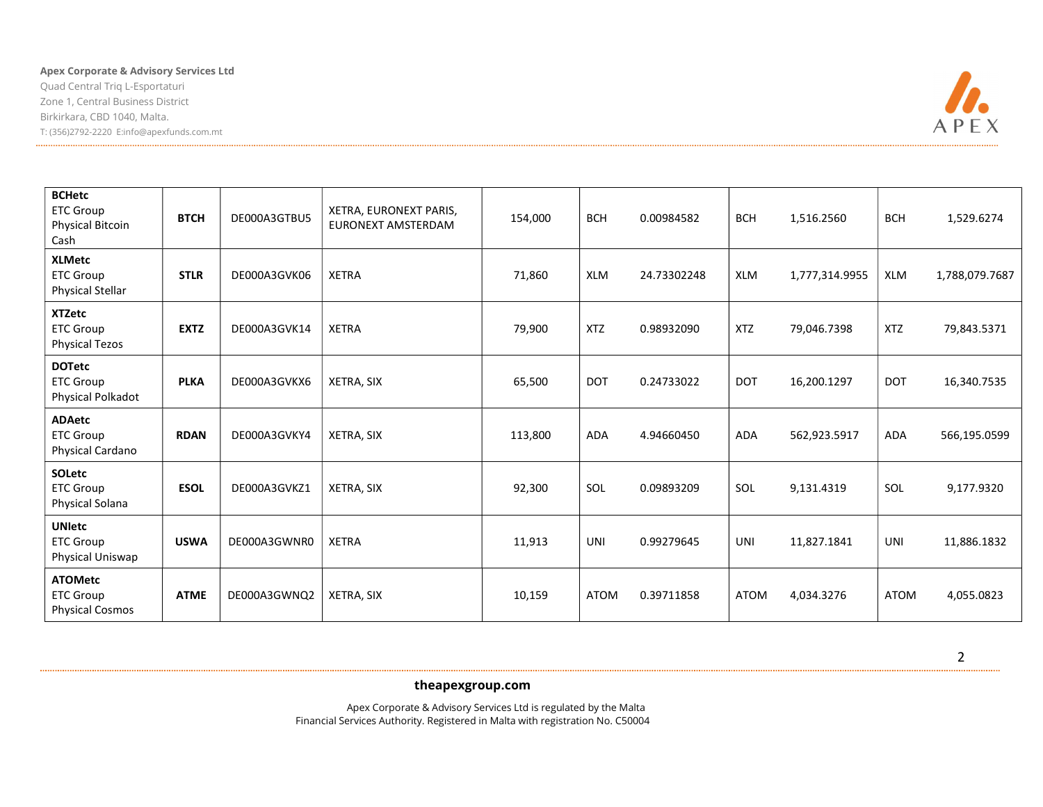### Apex Corporate & Advisory Services Ltd

Quad Central Triq L-Esportaturi Zone 1, Central Business District Birkirkara, CBD 1040, Malta. T: (356)2792-2220 E:info@apexfunds.com.mt



| <b>BCHetc</b><br><b>ETC Group</b><br><b>Physical Bitcoin</b><br>Cash | <b>BTCH</b> | DE000A3GTBU5 | XETRA, EURONEXT PARIS,<br>EURONEXT AMSTERDAM | 154,000 | <b>BCH</b>  | 0.00984582  | <b>BCH</b>  | 1,516.2560     | <b>BCH</b>  | 1,529.6274     |
|----------------------------------------------------------------------|-------------|--------------|----------------------------------------------|---------|-------------|-------------|-------------|----------------|-------------|----------------|
| <b>XLMetc</b><br><b>ETC Group</b><br><b>Physical Stellar</b>         | <b>STLR</b> | DE000A3GVK06 | <b>XETRA</b>                                 | 71,860  | XLM         | 24.73302248 | XLM         | 1,777,314.9955 | <b>XLM</b>  | 1,788,079.7687 |
| <b>XTZetc</b><br><b>ETC Group</b><br><b>Physical Tezos</b>           | <b>EXTZ</b> | DE000A3GVK14 | <b>XETRA</b>                                 | 79,900  | <b>XTZ</b>  | 0.98932090  | <b>XTZ</b>  | 79,046.7398    | <b>XTZ</b>  | 79,843.5371    |
| <b>DOTetc</b><br><b>ETC Group</b><br>Physical Polkadot               | <b>PLKA</b> | DE000A3GVKX6 | XETRA, SIX                                   | 65,500  | <b>DOT</b>  | 0.24733022  | <b>DOT</b>  | 16,200.1297    | <b>DOT</b>  | 16,340.7535    |
| <b>ADAetc</b><br><b>ETC Group</b><br>Physical Cardano                | <b>RDAN</b> | DE000A3GVKY4 | XETRA, SIX                                   | 113,800 | ADA         | 4.94660450  | <b>ADA</b>  | 562,923.5917   | ADA         | 566,195.0599   |
| <b>SOLetc</b><br><b>ETC Group</b><br>Physical Solana                 | <b>ESOL</b> | DE000A3GVKZ1 | XETRA, SIX                                   | 92,300  | SOL         | 0.09893209  | SOL         | 9,131.4319     | SOL         | 9,177.9320     |
| <b>UNIetc</b><br><b>ETC Group</b><br>Physical Uniswap                | <b>USWA</b> | DE000A3GWNR0 | <b>XETRA</b>                                 | 11,913  | UNI         | 0.99279645  | UNI         | 11,827.1841    | UNI         | 11,886.1832    |
| <b>ATOMetc</b><br><b>ETC Group</b><br><b>Physical Cosmos</b>         | <b>ATME</b> | DE000A3GWNQ2 | XETRA, SIX                                   | 10,159  | <b>ATOM</b> | 0.39711858  | <b>ATOM</b> | 4,034.3276     | <b>ATOM</b> | 4,055.0823     |

ł theapexgroup.com

 Apex Corporate & Advisory Services Ltd is regulated by the Malta Financial Services Authority. Registered in Malta with registration No. C50004 2